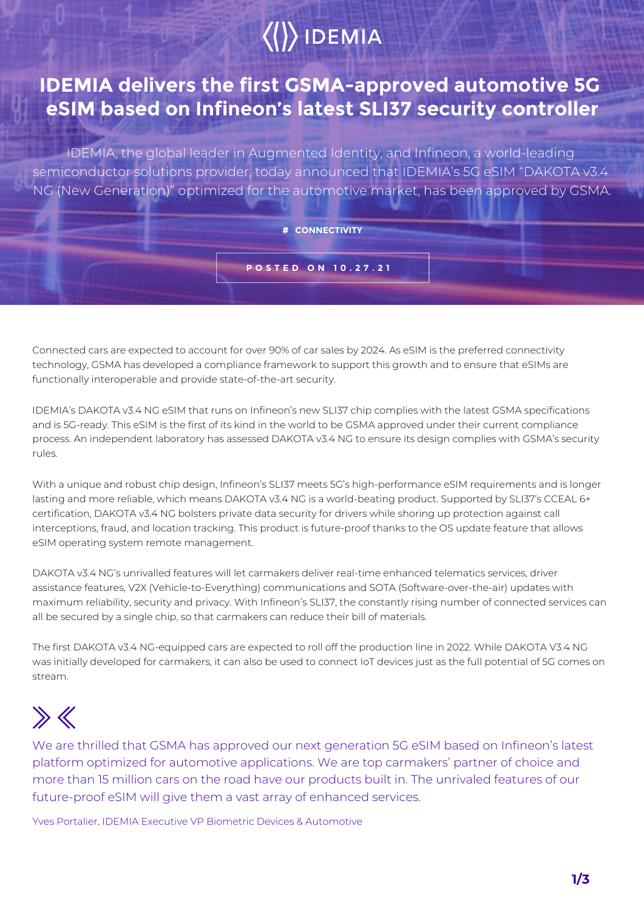# $\langle\langle\rangle\rangle$  IDEMIA

## **IDEMIA delivers the first GSMA-approved automotive 5G eSIM based on Infineon's latest SLI37 security controller**

IDEMIA, the global leader in Augmented Identity, and Infineon, a world-leading semiconductor solutions provider, today announced that IDEMIA's 5G eSIM "DAKOTA v3.4 NG (New Generation)" optimized for the automotive market, has been approved by GSMA.

### **# CONNECTIVITY**

**POSTED ON 10.27.21**

Connected cars are expected to account for over 90% of car sales by 2024. As eSIM is the preferred connectivity technology, GSMA has developed a compliance framework to support this growth and to ensure that eSIMs are functionally interoperable and provide state-of-the-art security.

IDEMIA's DAKOTA v3.4 NG eSIM that runs on Infineon's new SLI37 chip complies with the latest GSMA specifications and is 5G-ready. This eSIM is the first of its kind in the world to be GSMA approved under their current compliance process. An independent laboratory has assessed DAKOTA v3.4 NG to ensure its design complies with GSMA's security rules.

With a unique and robust chip design, Infineon's SLI37 meets 5G's high-performance eSIM requirements and is longer lasting and more reliable, which means DAKOTA v3.4 NG is a world-beating product. Supported by SLI37's CCEAL 6+ certification, DAKOTA v3.4 NG bolsters private data security for drivers while shoring up protection against call interceptions, fraud, and location tracking. This product is future-proof thanks to the OS update feature that allows eSIM operating system remote management.

DAKOTA v3.4 NG's unrivalled features will let carmakers deliver real-time enhanced telematics services, driver assistance features, V2X (Vehicle-to-Everything) communications and SOTA (Software-over-the-air) updates with maximum reliability, security and privacy. With Infineon's SLI37, the constantly rising number of connected services can all be secured by a single chip, so that carmakers can reduce their bill of materials.

The first DAKOTA v3.4 NG-equipped cars are expected to roll off the production line in 2022. While DAKOTA V3.4 NG was initially developed for carmakers, it can also be used to connect IoT devices just as the full potential of 5G comes on stream.

## $\gg K$

We are thrilled that GSMA has approved our next generation 5G eSIM based on Infineon's latest platform optimized for automotive applications. We are top carmakers' partner of choice and more than 15 million cars on the road have our products built in. The unrivaled features of our future-proof eSIM will give them a vast array of enhanced services.

Yves Portalier, IDEMIA Executive VP Biometric Devices & Automotive